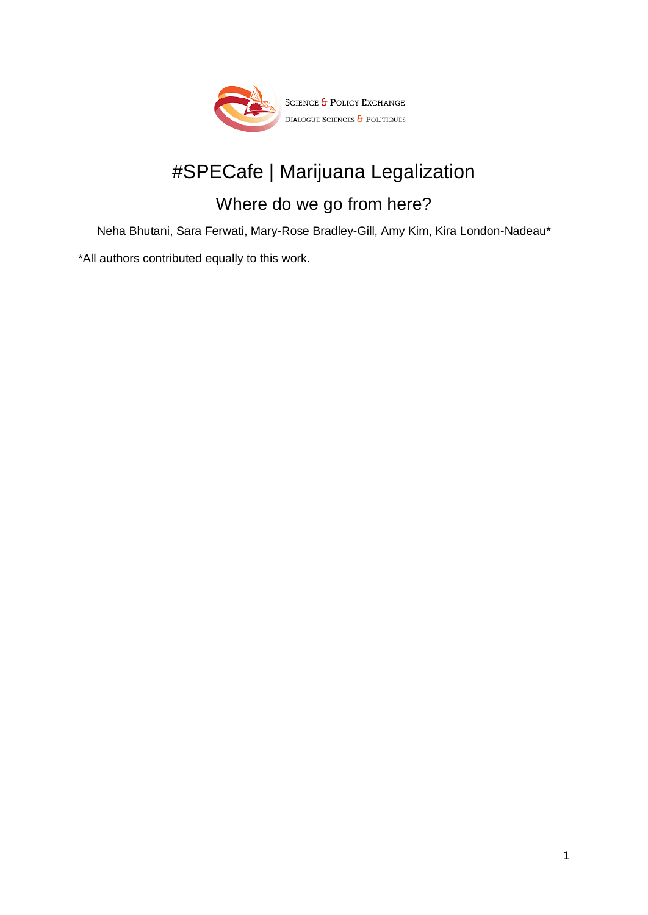

# #SPECafe | Marijuana Legalization

## Where do we go from here?

Neha Bhutani, Sara Ferwati, Mary-Rose Bradley-Gill, Amy Kim, Kira London-Nadeau\*

\*All authors contributed equally to this work.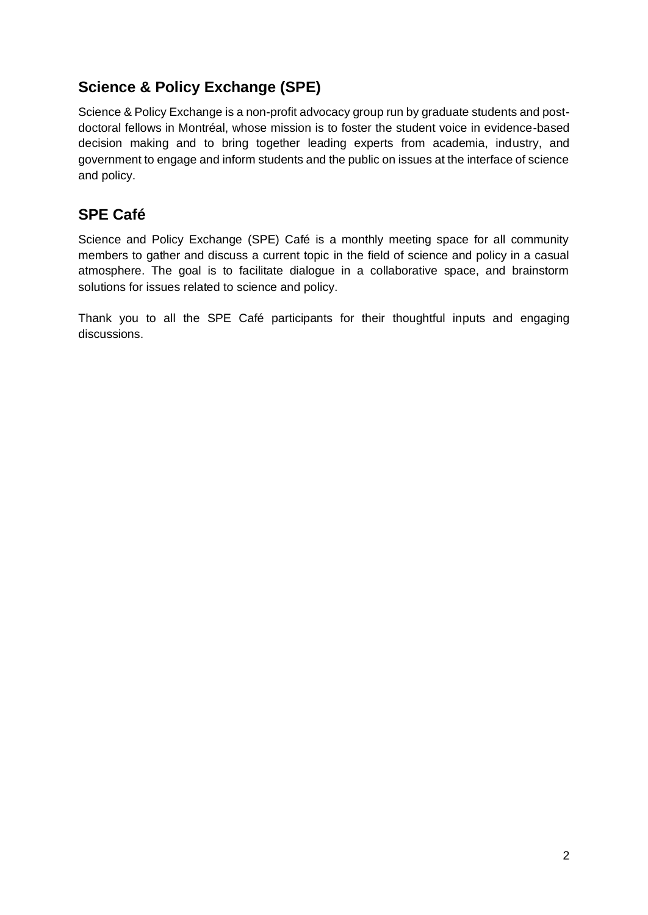### **Science & Policy Exchange (SPE)**

Science & Policy Exchange is a non-profit advocacy group run by graduate students and postdoctoral fellows in Montréal, whose mission is to foster the student voice in evidence-based decision making and to bring together leading experts from academia, industry, and government to engage and inform students and the public on issues at the interface of science and policy.

### **SPE Café**

Science and Policy Exchange (SPE) Café is a monthly meeting space for all community members to gather and discuss a current topic in the field of science and policy in a casual atmosphere. The goal is to facilitate dialogue in a collaborative space, and brainstorm solutions for issues related to science and policy.

Thank you to all the SPE Café participants for their thoughtful inputs and engaging discussions.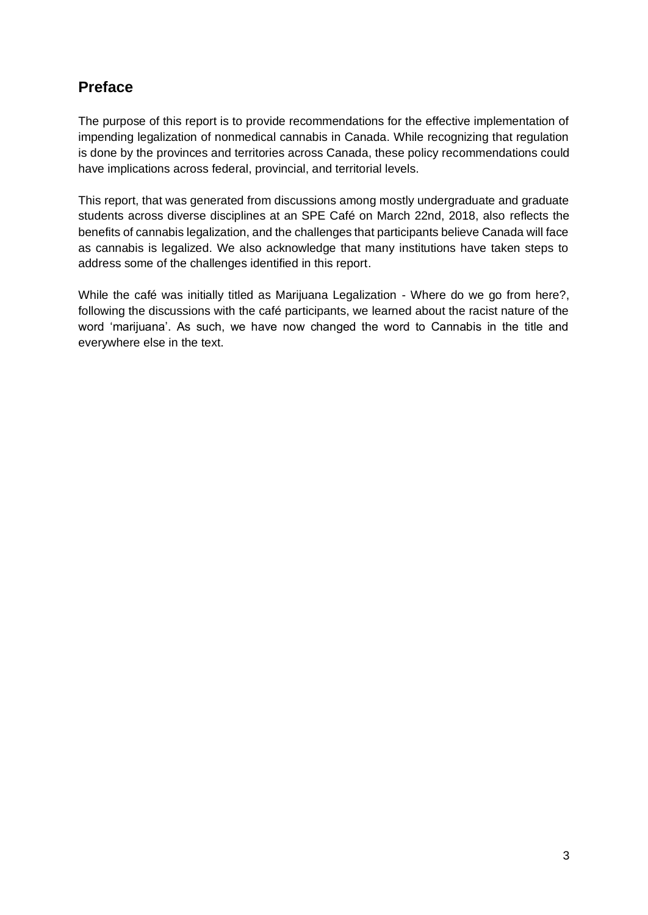### **Preface**

The purpose of this report is to provide recommendations for the effective implementation of impending legalization of nonmedical cannabis in Canada. While recognizing that regulation is done by the provinces and territories across Canada, these policy recommendations could have implications across federal, provincial, and territorial levels.

This report, that was generated from discussions among mostly undergraduate and graduate students across diverse disciplines at an SPE Café on March 22nd, 2018, also reflects the benefits of cannabis legalization, and the challenges that participants believe Canada will face as cannabis is legalized. We also acknowledge that many institutions have taken steps to address some of the challenges identified in this report.

While the café was initially titled as Marijuana Legalization - Where do we go from here?, following the discussions with the café participants, we learned about the racist nature of the word 'marijuana'. As such, we have now changed the word to Cannabis in the title and everywhere else in the text.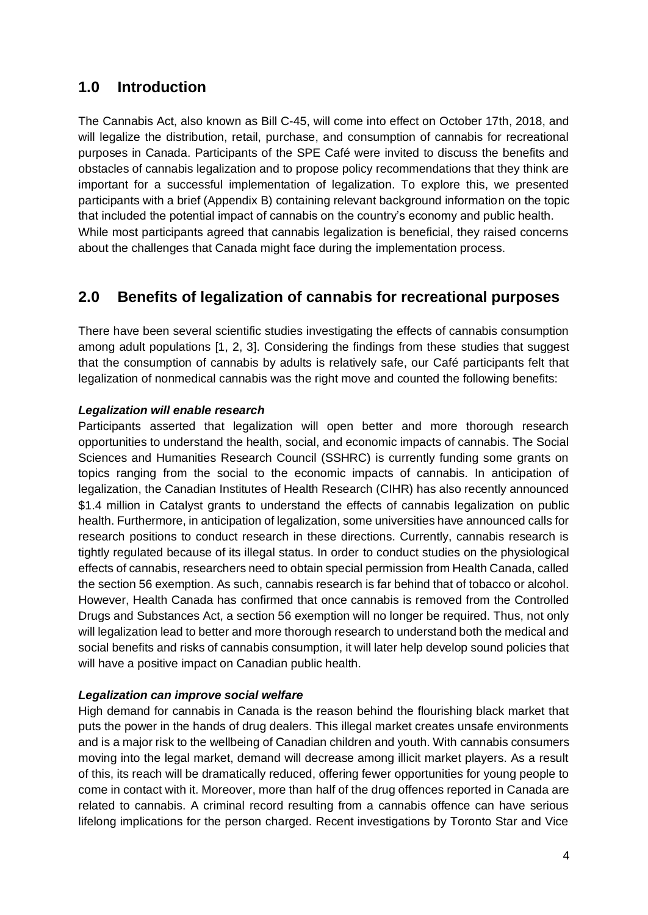### **1.0 Introduction**

The Cannabis Act, also known as Bill C-45, will come into effect on October 17th, 2018, and will legalize the distribution, retail, purchase, and consumption of cannabis for recreational purposes in Canada. Participants of the SPE Café were invited to discuss the benefits and obstacles of cannabis legalization and to propose policy recommendations that they think are important for a successful implementation of legalization. To explore this, we presented participants with a brief (Appendix B) containing relevant background information on the topic that included the potential impact of cannabis on the country's economy and public health. While most participants agreed that cannabis legalization is beneficial, they raised concerns about the challenges that Canada might face during the implementation process.

### **2.0 Benefits of legalization of cannabis for recreational purposes**

There have been several scientific studies investigating the effects of cannabis consumption among adult populations [1, 2, 3]. Considering the findings from these studies that suggest that the consumption of cannabis by adults is relatively safe, our Café participants felt that legalization of nonmedical cannabis was the right move and counted the following benefits:

#### *Legalization will enable research*

Participants asserted that legalization will open better and more thorough research opportunities to understand the health, social, and economic impacts of cannabis. The Social Sciences and Humanities Research Council (SSHRC) is currently funding some grants on topics ranging from the social to the economic impacts of cannabis. In anticipation of legalization, the Canadian Institutes of Health Research (CIHR) has also recently announced \$1.4 million in Catalyst grants to understand the effects of cannabis legalization on public health. Furthermore, in anticipation of legalization, some universities have announced calls for research positions to conduct research in these directions. Currently, cannabis research is tightly regulated because of its illegal status. In order to conduct studies on the physiological effects of cannabis, researchers need to obtain special permission from Health Canada, called the section 56 exemption. As such, cannabis research is far behind that of tobacco or alcohol. However, Health Canada has confirmed that once cannabis is removed from the Controlled Drugs and Substances Act, a section 56 exemption will no longer be required. Thus, not only will legalization lead to better and more thorough research to understand both the medical and social benefits and risks of cannabis consumption, it will later help develop sound policies that will have a positive impact on Canadian public health.

#### *Legalization can improve social welfare*

High demand for cannabis in Canada is the reason behind the flourishing black market that puts the power in the hands of drug dealers. This illegal market creates unsafe environments and is a major risk to the wellbeing of Canadian children and youth. With cannabis consumers moving into the legal market, demand will decrease among illicit market players. As a result of this, its reach will be dramatically reduced, offering fewer opportunities for young people to come in contact with it. Moreover, more than half of the drug offences reported in Canada are related to cannabis. A criminal record resulting from a cannabis offence can have serious lifelong implications for the person charged. Recent investigations by Toronto Star and Vice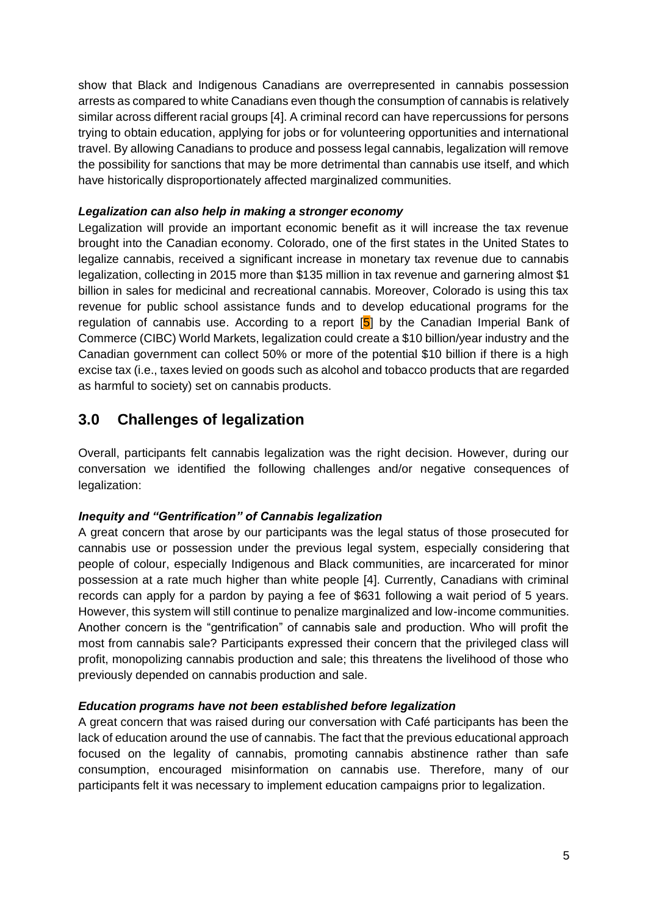show that Black and Indigenous Canadians are overrepresented in cannabis possession arrests as compared to white Canadians even though the consumption of cannabis is relatively similar across different racial groups [4]. A criminal record can have repercussions for persons trying to obtain education, applying for jobs or for volunteering opportunities and international travel. By allowing Canadians to produce and possess legal cannabis, legalization will remove the possibility for sanctions that may be more detrimental than cannabis use itself, and which have historically disproportionately affected marginalized communities.

#### *Legalization can also help in making a stronger economy*

Legalization will provide an important economic benefit as it will increase the tax revenue brought into the Canadian economy. Colorado, one of the first states in the United States to legalize cannabis, received a significant increase in monetary tax revenue due to cannabis legalization, collecting in 2015 more than \$135 million in tax revenue and garnering almost \$1 billion in sales for medicinal and recreational cannabis. Moreover, Colorado is using this tax revenue for public school assistance funds and to develop educational programs for the regulation of cannabis use. According to a report  $[5]$  by the Canadian Imperial Bank of Commerce (CIBC) World Markets, legalization could create a \$10 billion/year industry and the Canadian government can collect 50% or more of the potential \$10 billion if there is a high excise tax (i.e., taxes levied on goods such as alcohol and tobacco products that are regarded as harmful to society) set on cannabis products.

### **3.0 Challenges of legalization**

Overall, participants felt cannabis legalization was the right decision. However, during our conversation we identified the following challenges and/or negative consequences of legalization:

#### *Inequity and "Gentrification" of Cannabis legalization*

A great concern that arose by our participants was the legal status of those prosecuted for cannabis use or possession under the previous legal system, especially considering that people of colour, especially Indigenous and Black communities, are incarcerated for minor possession at a rate much higher than white people [4]. Currently, Canadians with criminal records can apply for a pardon by paying a fee of \$631 following a wait period of 5 years. However, this system will still continue to penalize marginalized and low-income communities. Another concern is the "gentrification" of cannabis sale and production. Who will profit the most from cannabis sale? Participants expressed their concern that the privileged class will profit, monopolizing cannabis production and sale; this threatens the livelihood of those who previously depended on cannabis production and sale.

#### *Education programs have not been established before legalization*

A great concern that was raised during our conversation with Café participants has been the lack of education around the use of cannabis. The fact that the previous educational approach focused on the legality of cannabis, promoting cannabis abstinence rather than safe consumption, encouraged misinformation on cannabis use. Therefore, many of our participants felt it was necessary to implement education campaigns prior to legalization.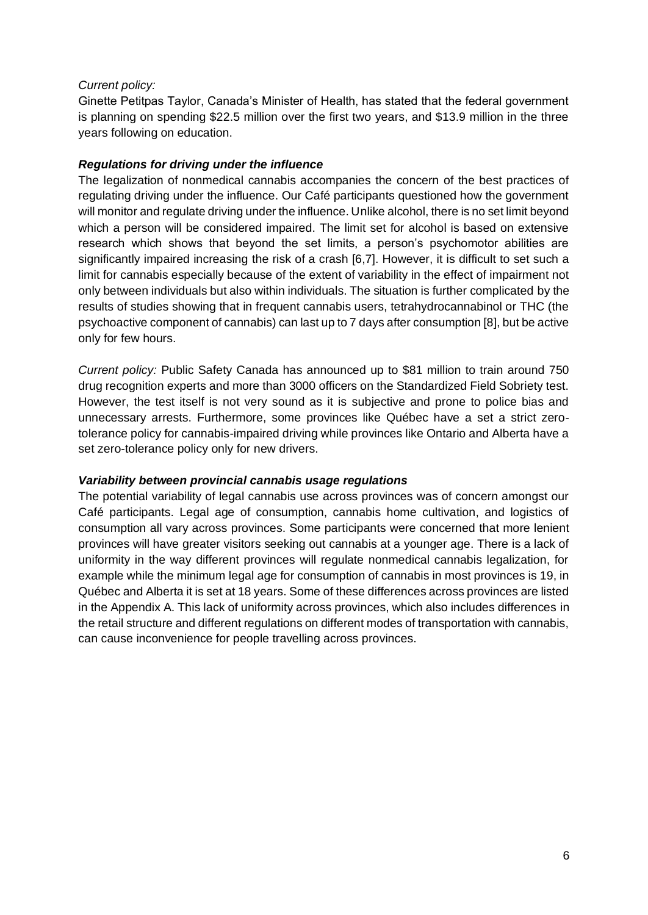#### *Current policy:*

Ginette Petitpas Taylor, Canada's Minister of Health, has stated that the federal government is planning on spending \$22.5 million over the first two years, and \$13.9 million in the three years following on education.

#### *Regulations for driving under the influence*

The legalization of nonmedical cannabis accompanies the concern of the best practices of regulating driving under the influence. Our Café participants questioned how the government will monitor and regulate driving under the influence. Unlike alcohol, there is no set limit beyond which a person will be considered impaired. The limit set for alcohol is based on extensive research which shows that beyond the set limits, a person's psychomotor abilities are significantly impaired increasing the risk of a crash [6,7]. However, it is difficult to set such a limit for cannabis especially because of the extent of variability in the effect of impairment not only between individuals but also within individuals. The situation is further complicated by the results of studies showing that in frequent cannabis users, tetrahydrocannabinol or THC (the psychoactive component of cannabis) can last up to 7 days after consumption [8], but be active only for few hours.

*Current policy:* Public Safety Canada has announced up to \$81 million to train around 750 drug recognition experts and more than 3000 officers on the Standardized Field Sobriety test. However, the test itself is not very sound as it is subjective and prone to police bias and unnecessary arrests. Furthermore, some provinces like Québec have a set a strict zerotolerance policy for cannabis-impaired driving while provinces like Ontario and Alberta have a set zero-tolerance policy only for new drivers.

#### *Variability between provincial cannabis usage regulations*

The potential variability of legal cannabis use across provinces was of concern amongst our Café participants. Legal age of consumption, cannabis home cultivation, and logistics of consumption all vary across provinces. Some participants were concerned that more lenient provinces will have greater visitors seeking out cannabis at a younger age. There is a lack of uniformity in the way different provinces will regulate nonmedical cannabis legalization, for example while the minimum legal age for consumption of cannabis in most provinces is 19, in Québec and Alberta it is set at 18 years. Some of these differences across provinces are listed in the Appendix A. This lack of uniformity across provinces, which also includes differences in the retail structure and different regulations on different modes of transportation with cannabis, can cause inconvenience for people travelling across provinces.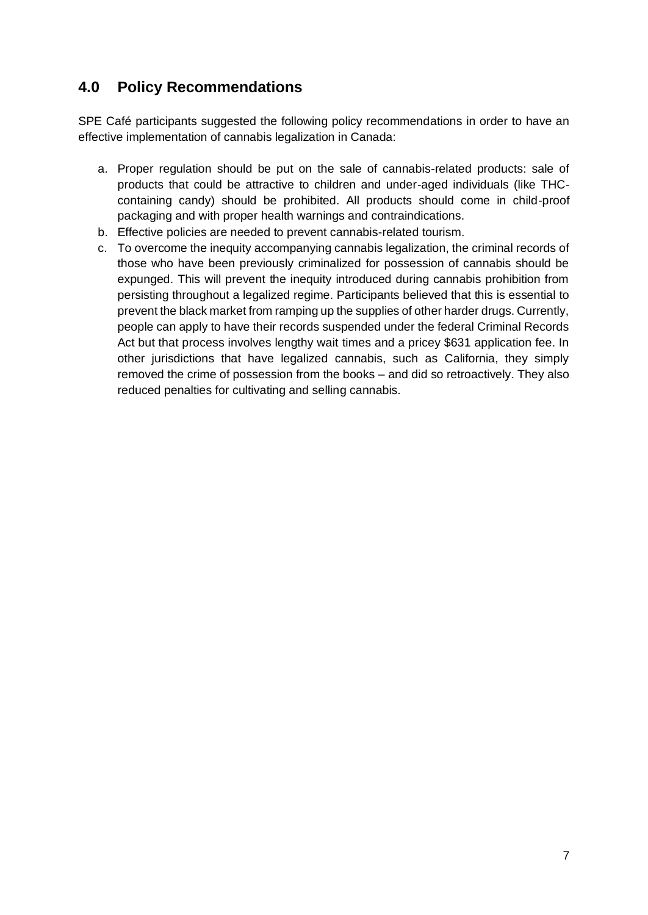### **4.0 Policy Recommendations**

SPE Café participants suggested the following policy recommendations in order to have an effective implementation of cannabis legalization in Canada:

- a. Proper regulation should be put on the sale of cannabis-related products: sale of products that could be attractive to children and under-aged individuals (like THCcontaining candy) should be prohibited. All products should come in child-proof packaging and with proper health warnings and contraindications.
- b. Effective policies are needed to prevent cannabis-related tourism.
- c. To overcome the inequity accompanying cannabis legalization, the criminal records of those who have been previously criminalized for possession of cannabis should be expunged. This will prevent the inequity introduced during cannabis prohibition from persisting throughout a legalized regime. Participants believed that this is essential to prevent the black market from ramping up the supplies of other harder drugs. Currently, people can apply to have their records suspended under the federal Criminal Records Act but that process involves lengthy wait times and a pricey \$631 application fee. In other jurisdictions that have legalized cannabis, such as California, they simply removed the crime of possession from the books – and did so retroactively. They also reduced penalties for cultivating and selling cannabis.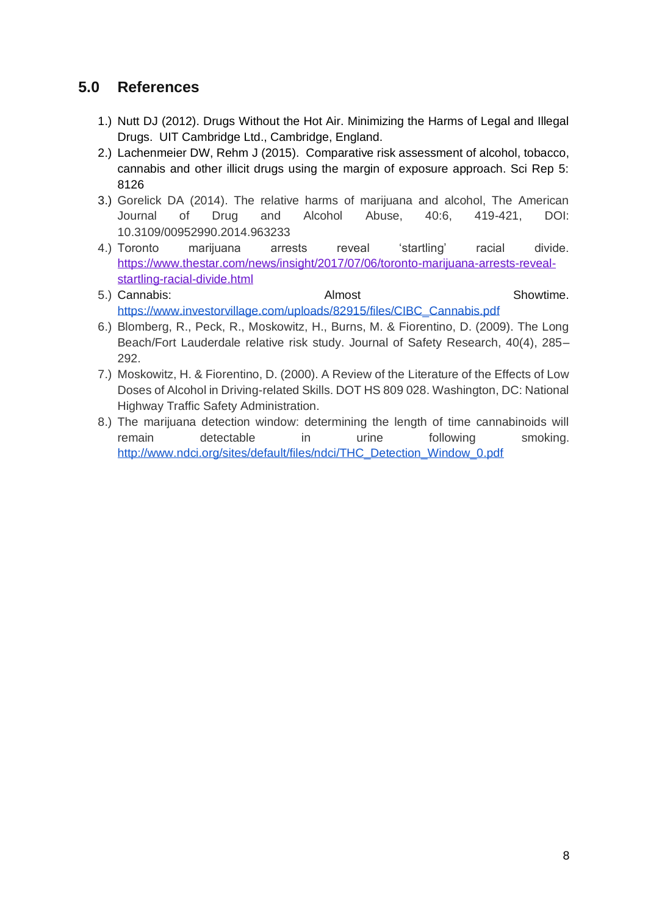### **5.0 References**

- 1.) Nutt DJ (2012). Drugs Without the Hot Air. Minimizing the Harms of Legal and Illegal Drugs. UIT Cambridge Ltd., Cambridge, England.
- 2.) Lachenmeier DW, Rehm J (2015). Comparative risk assessment of alcohol, tobacco, cannabis and other illicit drugs using the margin of exposure approach. Sci Rep 5: 8126
- 3.) Gorelick DA (2014). The relative harms of marijuana and alcohol, The American Journal of Drug and Alcohol Abuse, 40:6, 419-421, DOI: 10.3109/00952990.2014.963233
- 4.) Toronto marijuana arrests reveal 'startling' racial divide. [https://www.thestar.com/news/insight/2017/07/06/toronto-marijuana-arrests-reveal](https://www.thestar.com/news/insight/2017/07/06/toronto-marijuana-arrests-reveal-startling-racial-divide.html)[startling-racial-divide.html](https://www.thestar.com/news/insight/2017/07/06/toronto-marijuana-arrests-reveal-startling-racial-divide.html)
- 5.) Cannabis: Cannabis: Cannabis: Cannabis: Cannabis: Cannabis: Showtime. [https://www.investorvillage.com/uploads/82915/files/CIBC\\_Cannabis.pdf](https://www.investorvillage.com/uploads/82915/files/CIBC_Cannabis.pdf)
- 6.) Blomberg, R., Peck, R., Moskowitz, H., Burns, M. & Fiorentino, D. (2009). The Long Beach/Fort Lauderdale relative risk study. Journal of Safety Research, 40(4), 285– 292.
- 7.) Moskowitz, H. & Fiorentino, D. (2000). A Review of the Literature of the Effects of Low Doses of Alcohol in Driving-related Skills. DOT HS 809 028. Washington, DC: National Highway Traffic Safety Administration.
- 8.) The marijuana detection window: determining the length of time cannabinoids will remain detectable in urine following smoking. [http://www.ndci.org/sites/default/files/ndci/THC\\_Detection\\_Window\\_0.pdf](http://www.ndci.org/sites/default/files/ndci/THC_Detection_Window_0.pdf)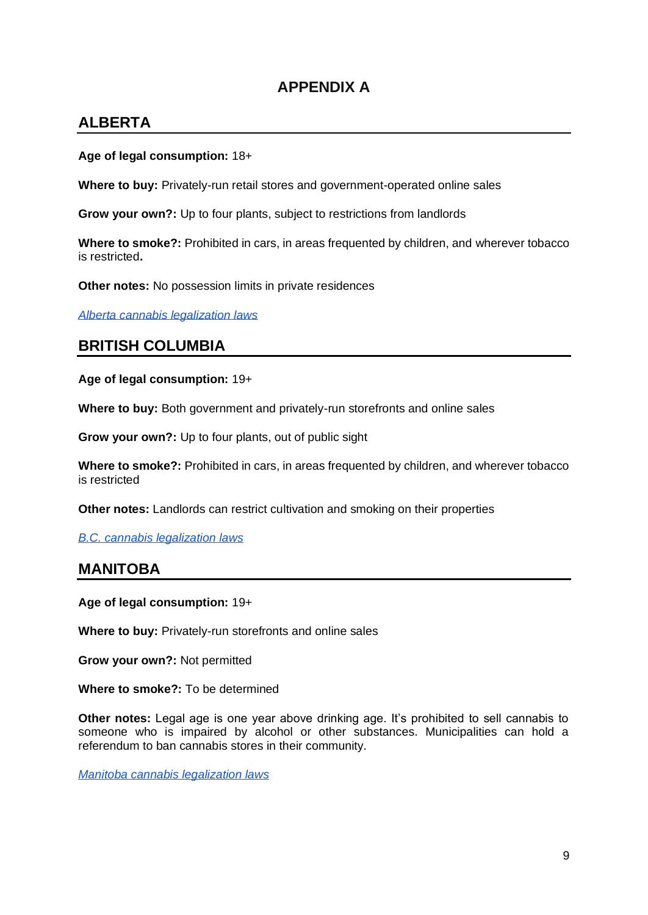### **APPENDIX A**

### **ALBERTA**

#### **Age of legal consumption:** 18+

**Where to buy:** Privately-run retail stores and government-operated online sales

**Grow your own?:** Up to four plants, subject to restrictions from landlords

**Where to smoke?:** Prohibited in cars, in areas frequented by children, and wherever tobacco is restricted**.**

**Other notes:** No possession limits in private residences

*[Alberta cannabis legalization laws](https://www.alberta.ca/cannabis-legalization.aspx)*

### **BRITISH COLUMBIA**

**Age of legal consumption:** 19+

**Where to buy:** Both government and privately-run storefronts and online sales

**Grow your own?:** Up to four plants, out of public sight

**Where to smoke?:** Prohibited in cars, in areas frequented by children, and wherever tobacco is restricted

**Other notes:** Landlords can restrict cultivation and smoking on their properties

*[B.C. cannabis legalization laws](https://www2.gov.bc.ca/gov/content/safety/public-safety/cannabis)*

### **MANITOBA**

**Age of legal consumption:** 19+

**Where to buy:** Privately-run storefronts and online sales

**Grow your own?:** Not permitted

**Where to smoke?:** To be determined

**Other notes:** Legal age is one year above drinking age. It's prohibited to sell cannabis to someone who is impaired by alcohol or other substances. Municipalities can hold a referendum to ban cannabis stores in their community.

*[Manitoba cannabis legalization laws](https://web2.gov.mb.ca/bills/41-3/b011e.php)*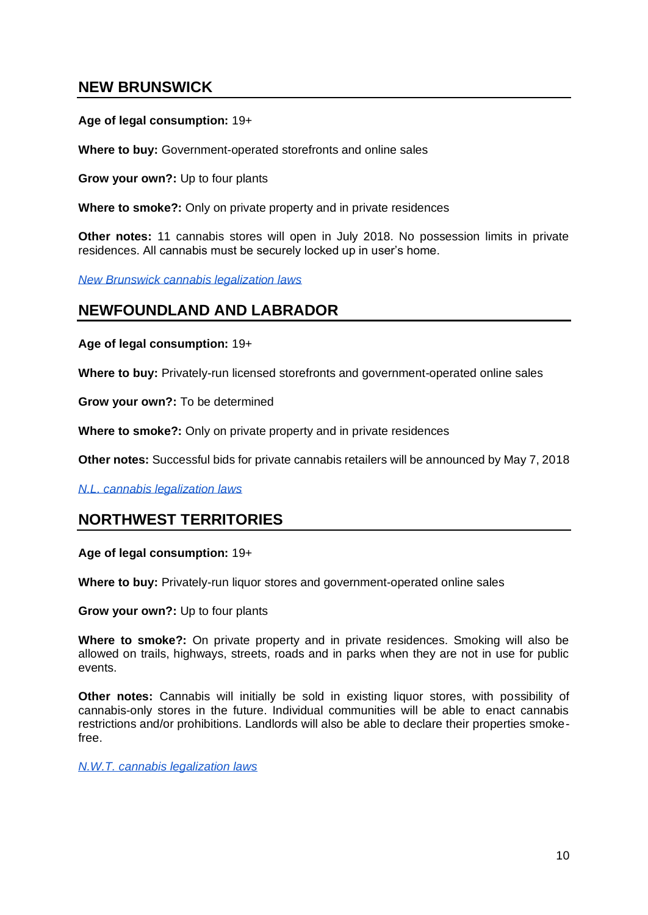### **NEW BRUNSWICK**

#### **Age of legal consumption:** 19+

**Where to buy:** Government-operated storefronts and online sales

**Grow your own?:** Up to four plants

**Where to smoke?:** Only on private property and in private residences

**Other notes:** 11 cannabis stores will open in July 2018. No possession limits in private residences. All cannabis must be securely locked up in user's home.

*[New Brunswick cannabis legalization laws](http://www2.gnb.ca/content/gnb/en/news/news_release.2017.11.1433.html)*

### **NEWFOUNDLAND AND LABRADOR**

**Age of legal consumption:** 19+

**Where to buy:** Privately-run licensed storefronts and government-operated online sales

**Grow your own?:** To be determined

**Where to smoke?:** Only on private property and in private residences

**Other notes:** Successful bids for private cannabis retailers will be announced by May 7, 2018

*[N.L. cannabis legalization laws](http://www.shopcannabisnl.com/)*

### **NORTHWEST TERRITORIES**

**Age of legal consumption:** 19+

**Where to buy:** Privately-run liquor stores and government-operated online sales

**Grow your own?:** Up to four plants

**Where to smoke?:** On private property and in private residences. Smoking will also be allowed on trails, highways, streets, roads and in parks when they are not in use for public events.

**Other notes:** Cannabis will initially be sold in existing liquor stores, with possibility of cannabis-only stores in the future. Individual communities will be able to enact cannabis restrictions and/or prohibitions. Landlords will also be able to declare their properties smokefree.

*[N.W.T. cannabis legalization laws](https://www.eia.gov.nt.ca/en/gnwt-cannabis-legislation/cannabis-and-nwt)*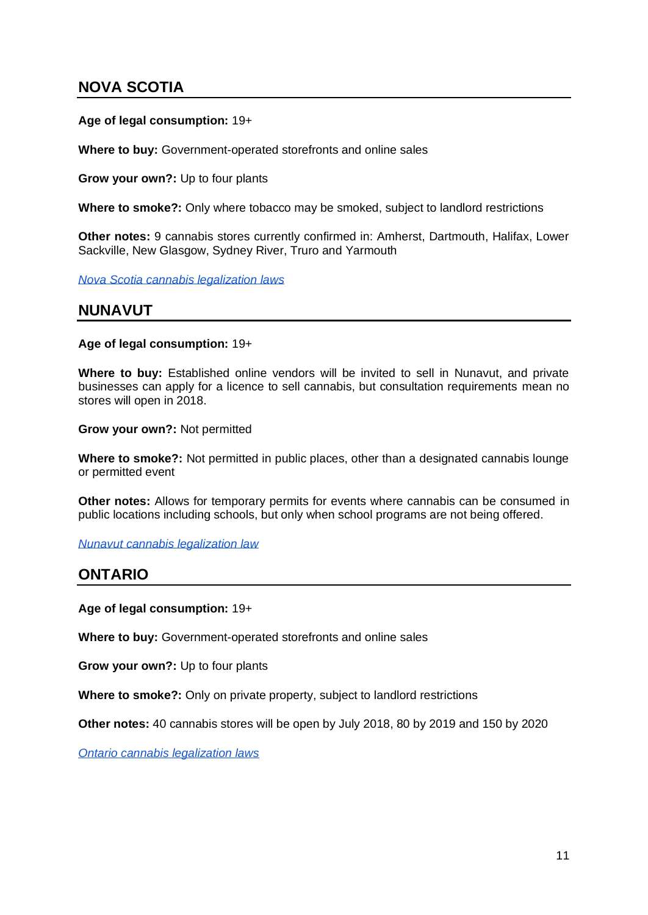### **NOVA SCOTIA**

#### **Age of legal consumption:** 19+

**Where to buy:** Government-operated storefronts and online sales

**Grow your own?:** Up to four plants

**Where to smoke?:** Only where tobacco may be smoked, subject to landlord restrictions

**Other notes:** 9 cannabis stores currently confirmed in: Amherst, Dartmouth, Halifax, Lower Sackville, New Glasgow, Sydney River, Truro and Yarmouth

*[Nova Scotia cannabis legalization laws](https://novascotia.ca/cannabis/)*

### **NUNAVUT**

**Age of legal consumption:** 19+

**Where to buy:** Established online vendors will be invited to sell in Nunavut, and private businesses can apply for a licence to sell cannabis, but consultation requirements mean no stores will open in 2018.

**Grow your own?:** Not permitted

**Where to smoke?:** Not permitted in public places, other than a designated cannabis lounge or permitted event

**Other notes:** Allows for temporary permits for events where cannabis can be consumed in public locations including schools, but only when school programs are not being offered.

*[Nunavut cannabis legalization law](http://assembly.nu.ca/sites/default/files/Bill-7-Cannabis-Act-ENG-FRE.pdf)*

### **ONTARIO**

**Age of legal consumption:** 19+

**Where to buy:** Government-operated storefronts and online sales

**Grow your own?:** Up to four plants

**Where to smoke?:** Only on private property, subject to landlord restrictions

**Other notes:** 40 cannabis stores will be open by July 2018, 80 by 2019 and 150 by 2020

*[Ontario cannabis legalization laws](https://lcbocannabisupdates.com/)*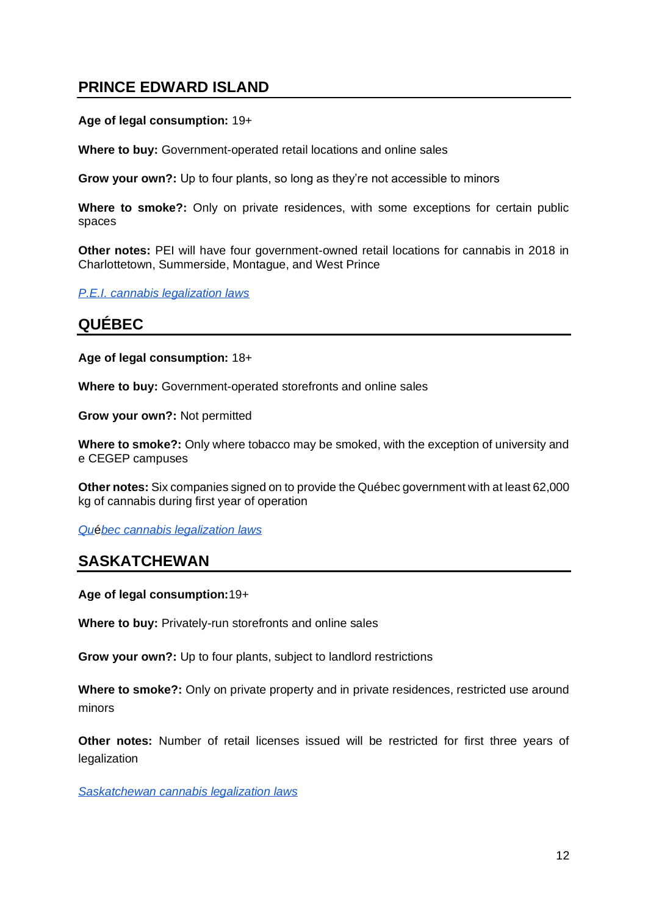### **PRINCE EDWARD ISLAND**

#### **Age of legal consumption:** 19+

**Where to buy:** Government-operated retail locations and online sales

**Grow your own?:** Up to four plants, so long as they're not accessible to minors

**Where to smoke?:** Only on private residences, with some exceptions for certain public spaces

**Other notes:** PEI will have four government-owned retail locations for cannabis in 2018 in Charlottetown, Summerside, Montague, and West Prince

*[P.E.I. cannabis legalization laws](https://www.princeedwardisland.ca/en/news/province-announces-framework-cannabis-legalization)*

### **QUÉBEC**

#### **Age of legal consumption:** 18+

**Where to buy:** Government-operated storefronts and online sales

**Grow your own?:** Not permitted

**Where to smoke?:** Only where tobacco may be smoked, with the exception of university and e CEGEP campuses

**Other notes:** Six companies signed on to provide the Québec government with at least 62,000 kg of cannabis during first year of operation

*[Qu](https://encadrementcannabis.gouv.qc.ca/en/loi/encadrement-du-cannabis-au-quebec/)*é*[bec cannabis legalization laws](https://encadrementcannabis.gouv.qc.ca/en/loi/encadrement-du-cannabis-au-quebec/)*

### **SASKATCHEWAN**

**Age of legal consumption:**19+

**Where to buy:** Privately-run storefronts and online sales

**Grow your own?:** Up to four plants, subject to landlord restrictions

**Where to smoke?:** Only on private property and in private residences, restricted use around minors

**Other notes:** Number of retail licenses issued will be restricted for first three years of legalization

*[Saskatchewan cannabis legalization laws](http://publications.gov.sk.ca/documents/13/106026-SK-Cannabis-Framework.pdf)*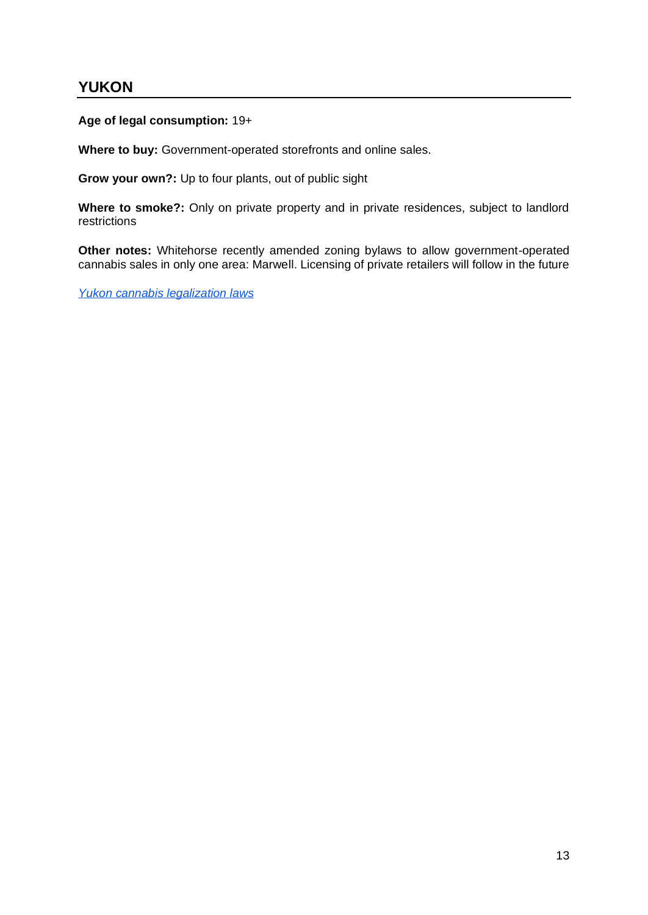### **YUKON**

**Age of legal consumption:** 19+

**Where to buy:** Government-operated storefronts and online sales.

**Grow your own?:** Up to four plants, out of public sight

**Where to smoke?:** Only on private property and in private residences, subject to landlord restrictions

**Other notes:** Whitehorse recently amended zoning bylaws to allow government-operated cannabis sales in only one area: Marwell. Licensing of private retailers will follow in the future

*[Yukon cannabis legalization laws](http://www.hss.gov.yk.ca/pdf/cannabisdraftlegislativesummary.pdf)*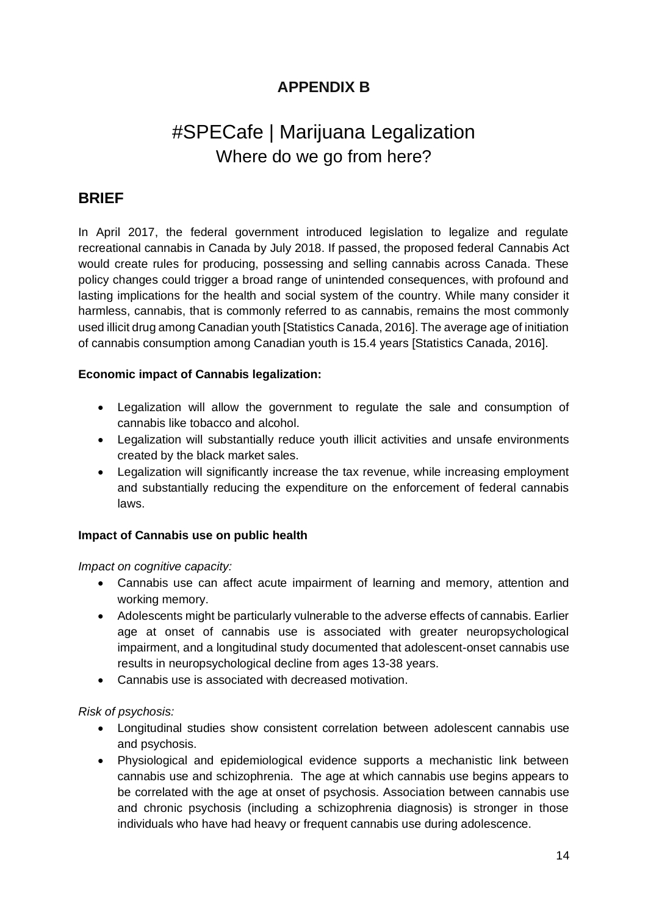### **APPENDIX B**

# #SPECafe | Marijuana Legalization Where do we go from here?

### **BRIEF**

In April 2017, the federal government introduced legislation to legalize and regulate recreational cannabis in Canada by July 2018. If passed, the proposed federal [Cannabis Act](http://www.parl.ca/LegisInfo/BillDetails.aspx?billId=8886269&&Language=E&&Mode=1) would create rules for producing, possessing and selling cannabis across Canada. These policy changes could trigger a broad range of unintended consequences, with profound and lasting implications for the health and social system of the country. While many consider it harmless, cannabis, that is commonly referred to as cannabis, remains the most commonly used illicit drug among Canadian youth [Statistics Canada, 2016]. The average age of initiation of cannabis consumption among Canadian youth is 15.4 years [Statistics Canada, 2016].

#### **Economic impact of Cannabis legalization:**

- Legalization will allow the government to regulate the sale and consumption of cannabis like tobacco and alcohol.
- Legalization will substantially reduce youth illicit activities and unsafe environments created by the black market sales.
- Legalization will significantly increase the tax revenue, while increasing employment and substantially reducing the expenditure on the enforcement of federal cannabis laws.

#### **Impact of Cannabis use on public health**

*Impact on cognitive capacity:*

- Cannabis use can affect acute impairment of learning and memory, attention and working memory.
- Adolescents might be particularly vulnerable to the adverse effects of cannabis. Earlier age at onset of cannabis use is associated with greater neuropsychological impairment, and a longitudinal study documented that adolescent-onset cannabis use results in neuropsychological decline from ages 13-38 years.
- Cannabis use is associated with decreased motivation.

#### *Risk of psychosis:*

- Longitudinal studies show consistent correlation between adolescent cannabis use and psychosis.
- Physiological and epidemiological evidence supports a mechanistic link between cannabis use and schizophrenia. The age at which cannabis use begins appears to be correlated with the age at onset of psychosis. Association between cannabis use and chronic psychosis (including a schizophrenia diagnosis) is stronger in those individuals who have had heavy or frequent cannabis use during adolescence.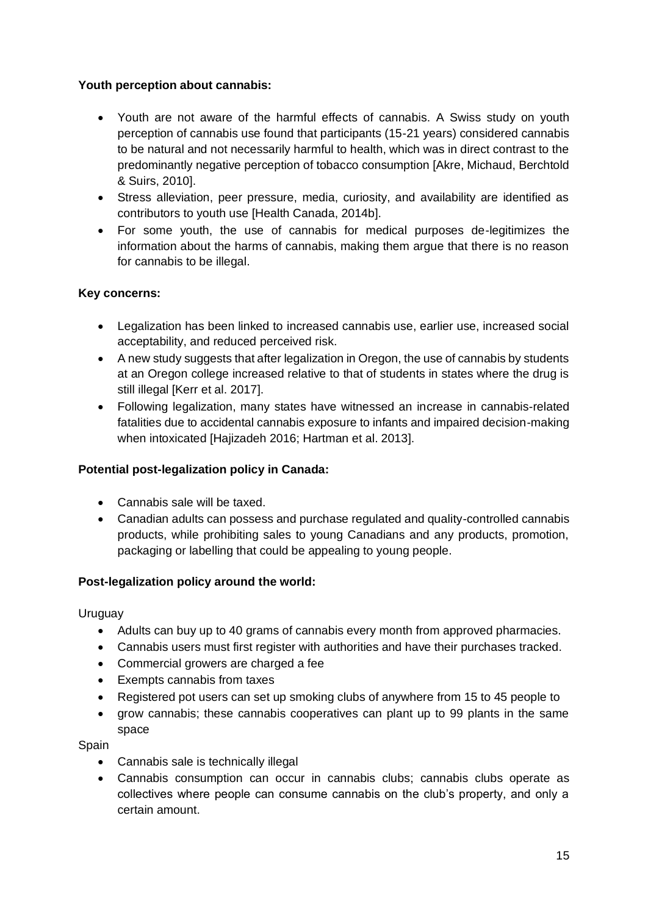#### **Youth perception about cannabis:**

- Youth are not aware of the harmful effects of cannabis. A Swiss study on youth perception of cannabis use found that participants (15-21 years) considered cannabis to be natural and not necessarily harmful to health, which was in direct contrast to the predominantly negative perception of tobacco consumption [Akre, Michaud, Berchtold & Suirs, 2010].
- Stress alleviation, peer pressure, media, curiosity, and availability are identified as contributors to youth use [Health Canada, 2014b].
- For some youth, the use of cannabis for medical purposes de-legitimizes the information about the harms of cannabis, making them argue that there is no reason for cannabis to be illegal.

#### **Key concerns:**

- Legalization has been linked to increased cannabis use, earlier use, increased social acceptability, and reduced perceived risk.
- A [new study](http://onlinelibrary.wiley.com/doi/10.1111/add.13906/abstract) suggests that after legalization in Oregon, the use of cannabis by students at an Oregon college increased relative to that of students in states where the drug is still illegal [Kerr et al. 2017].
- Following legalization, many states have witnessed an increase in cannabis-related fatalities due to accidental cannabis exposure to infants and impaired decision-making when intoxicated [Hajizadeh 2016; Hartman et al. 2013].

#### **Potential post-legalization policy in Canada:**

- Cannabis sale will be taxed.
- Canadian adults can possess and purchase regulated and quality-controlled cannabis products, while prohibiting sales to young Canadians and any products, promotion, packaging or labelling that could be appealing to young people.

#### **Post-legalization policy around the world:**

#### Uruguay

- Adults can buy up to 40 grams of cannabis every month from approved pharmacies.
- Cannabis users must first register with authorities and have their purchases tracked.
- Commercial growers are charged a fee
- Exempts cannabis from taxes
- Registered pot users can set up smoking clubs of anywhere from 15 to 45 people to
- grow cannabis; these cannabis cooperatives can plant up to 99 plants in the same space

#### **Spain**

- Cannabis sale is technically illegal
- Cannabis consumption can occur in cannabis clubs; cannabis clubs operate as collectives where people can consume cannabis on the club's property, and only a certain amount.